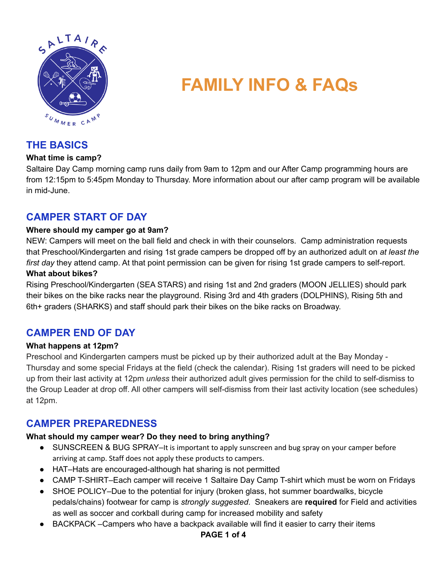

# **FAMILY INFO & FAQs**

# **THE BASICS**

#### **What time is camp?**

Saltaire Day Camp morning camp runs daily from 9am to 12pm and our After Camp programming hours are from 12:15pm to 5:45pm Monday to Thursday. More information about our after camp program will be available in mid-June.

## **CAMPER START OF DAY**

#### **Where should my camper go at 9am?**

NEW: Campers will meet on the ball field and check in with their counselors. Camp administration requests that Preschool/Kindergarten and rising 1st grade campers be dropped off by an authorized adult on *at least the first day* they attend camp. At that point permission can be given for rising 1st grade campers to self-report. **What about bikes?**

Rising Preschool/Kindergarten (SEA STARS) and rising 1st and 2nd graders (MOON JELLIES) should park their bikes on the bike racks near the playground. Rising 3rd and 4th graders (DOLPHINS), Rising 5th and 6th+ graders (SHARKS) and staff should park their bikes on the bike racks on Broadway.

# **CAMPER END OF DAY**

#### **What happens at 12pm?**

Preschool and Kindergarten campers must be picked up by their authorized adult at the Bay Monday - Thursday and some special Fridays at the field (check the calendar). Rising 1st graders will need to be picked up from their last activity at 12pm *unless* their authorized adult gives permission for the child to self-dismiss to the Group Leader at drop off. All other campers will self-dismiss from their last activity location (see schedules) at 12pm.

## **CAMPER PREPAREDNESS**

## **What should my camper wear? Do they need to bring anything?**

- SUNSCREEN & BUG SPRAY–It is important to apply sunscreen and bug spray on your camper before arriving at camp. Staff does not apply these products to campers.
- HAT–Hats are encouraged-although hat sharing is not permitted
- CAMP T-SHIRT-Each camper will receive 1 Saltaire Day Camp T-shirt which must be worn on Fridays
- SHOE POLICY–Due to the potential for injury (broken glass, hot summer boardwalks, bicycle pedals/chains) footwear for camp is *strongly suggested*. Sneakers are **required** for Field and activities as well as soccer and corkball during camp for increased mobility and safety
- BACKPACK –Campers who have a backpack available will find it easier to carry their items

#### **PAGE 1 of 4**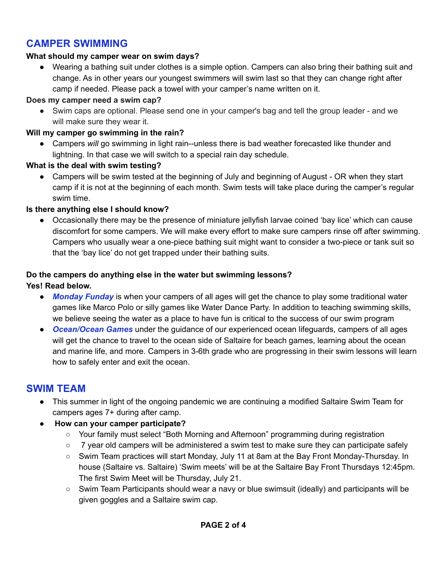# **CAMPER SWIMMING**

## **What should my camper wear on swim days?**

Wearing a bathing suit under clothes is a simple option. Campers can also bring their bathing suit and change. As in other years our youngest swimmers will swim last so that they can change right after camp if needed. Please pack a towel with your camper's name written on it.

## **Does my camper need a swim cap?**

● Swim caps are optional. Please send one in your camper's bag and tell the group leader - and we will make sure they wear it.

## **Will my camper go swimming in the rain?**

● Campers *will* go swimming in light rain--unless there is bad weather forecasted like thunder and lightning. In that case we will switch to a special rain day schedule.

## **What is the deal with swim testing?**

**●** Campers will be swim tested at the beginning of July and beginning of August - OR when they start camp if it is not at the beginning of each month. Swim tests will take place during the camper's regular swim time.

## **Is there anything else I should know?**

Occasionally there may be the presence of miniature jellyfish larvae coined 'bay lice' which can cause discomfort for some campers. We will make every effort to make sure campers rinse off after swimming. Campers who usually wear a one-piece bathing suit might want to consider a two-piece or tank suit so that the 'bay lice' do not get trapped under their bathing suits.

# **Do the campers do anything else in the water but swimming lessons?**

### **Yes! Read below.**

- **Monday Funday** is when your campers of all ages will get the chance to play some traditional water games like Marco Polo or silly games like Water Dance Party. In addition to teaching swimming skills, we believe seeing the water as a place to have fun is critical to the success of our swim program
- *Ocean/Ocean Games* under the guidance of our experienced ocean lifeguards, campers of all ages will get the chance to travel to the ocean side of Saltaire for beach games, learning about the ocean and marine life, and more. Campers in 3-6th grade who are progressing in their swim lessons will learn how to safely enter and exit the ocean.

## **SWIM TEAM**

- This summer in light of the ongoing pandemic we are continuing a modified Saltaire Swim Team for campers ages 7+ during after camp.
- **How can your camper participate?**
	- Your family must select "Both Morning and Afternoon" programming during registration
	- $\circ$  7 year old campers will be administered a swim test to make sure they can participate safely
	- Swim Team practices will start Monday, July 11 at 8am at the Bay Front Monday-Thursday. In house (Saltaire vs. Saltaire) 'Swim meets' will be at the Saltaire Bay Front Thursdays 12:45pm. The first Swim Meet will be Thursday, July 21.
	- Swim Team Participants should wear a navy or blue swimsuit (ideally) and participants will be given goggles and a Saltaire swim cap.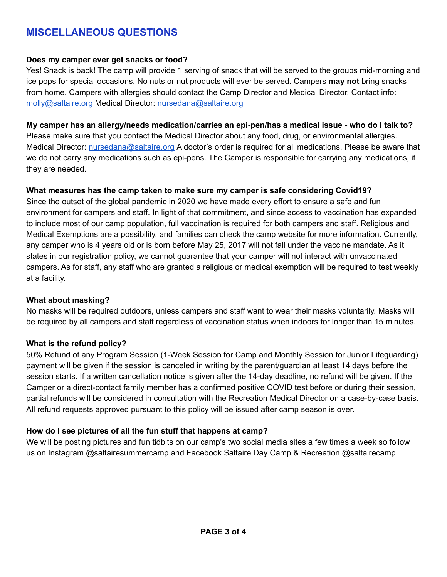# **MISCELLANEOUS QUESTIONS**

#### **Does my camper ever get snacks or food?**

Yes! Snack is back! The camp will provide 1 serving of snack that will be served to the groups mid-morning and ice pops for special occasions. No nuts or nut products will ever be served. Campers **may not** bring snacks from home. Campers with allergies should contact the Camp Director and Medical Director. Contact info: [molly@saltaire.org](mailto:molly@saltaire.org) Medical Director: [nursedana@saltaire.org](mailto:nursedana@saltaire.org)

**My camper has an allergy/needs medication/carries an epi-pen/has a medical issue - who do I talk to?** Please make sure that you contact the Medical Director about any food, drug, or environmental allergies. Medical Director: [nursedana@saltaire.org](mailto:nursedana@saltaire.org) A doctor's order is required for all medications. Please be aware that we do not carry any medications such as epi-pens. The Camper is responsible for carrying any medications, if they are needed.

#### **What measures has the camp taken to make sure my camper is safe considering Covid19?**

Since the outset of the global pandemic in 2020 we have made every effort to ensure a safe and fun environment for campers and staff. In light of that commitment, and since access to vaccination has expanded to include most of our camp population, full vaccination is required for both campers and staff. Religious and Medical Exemptions are a possibility, and families can check the camp website for more information. Currently, any camper who is 4 years old or is born before May 25, 2017 will not fall under the vaccine mandate. As it states in our registration policy, we cannot guarantee that your camper will not interact with unvaccinated campers. As for staff, any staff who are granted a religious or medical exemption will be required to test weekly at a facility.

#### **What about masking?**

No masks will be required outdoors, unless campers and staff want to wear their masks voluntarily. Masks will be required by all campers and staff regardless of vaccination status when indoors for longer than 15 minutes.

#### **What is the refund policy?**

50% Refund of any Program Session (1-Week Session for Camp and Monthly Session for Junior Lifeguarding) payment will be given if the session is canceled in writing by the parent/guardian at least 14 days before the session starts. If a written cancellation notice is given after the 14-day deadline, no refund will be given. If the Camper or a direct-contact family member has a confirmed positive COVID test before or during their session, partial refunds will be considered in consultation with the Recreation Medical Director on a case-by-case basis. All refund requests approved pursuant to this policy will be issued after camp season is over.

#### **How do I see pictures of all the fun stuff that happens at camp?**

We will be posting pictures and fun tidbits on our camp's two social media sites a few times a week so follow us on Instagram @saltairesummercamp and Facebook Saltaire Day Camp & Recreation @saltairecamp